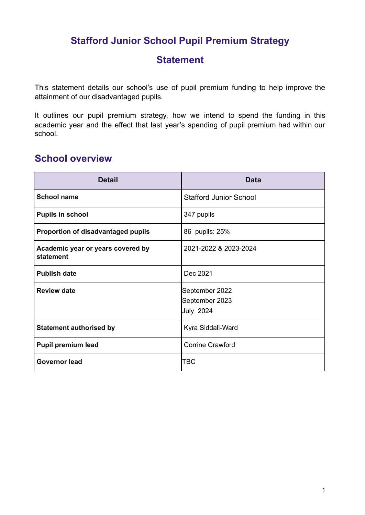# **Stafford Junior School Pupil Premium Strategy**

## **Statement**

This statement details our school's use of pupil premium funding to help improve the attainment of our disadvantaged pupils.

It outlines our pupil premium strategy, how we intend to spend the funding in this academic year and the effect that last year's spending of pupil premium had within our school.

## **School overview**

| <b>Detail</b>                                  | <b>Data</b>                                          |
|------------------------------------------------|------------------------------------------------------|
| <b>School name</b>                             | <b>Stafford Junior School</b>                        |
| <b>Pupils in school</b>                        | 347 pupils                                           |
| <b>Proportion of disadvantaged pupils</b>      | 86 pupils: 25%                                       |
| Academic year or years covered by<br>statement | 2021-2022 & 2023-2024                                |
| <b>Publish date</b>                            | Dec 2021                                             |
| <b>Review date</b>                             | September 2022<br>September 2023<br><b>July 2024</b> |
| <b>Statement authorised by</b>                 | Kyra Siddall-Ward                                    |
| <b>Pupil premium lead</b>                      | <b>Corrine Crawford</b>                              |
| <b>Governor lead</b>                           | TBC                                                  |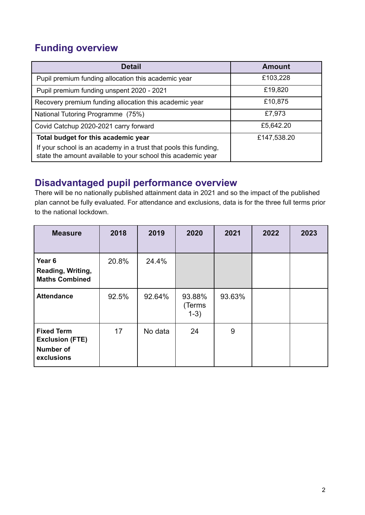# **Funding overview**

| <b>Detail</b>                                                                                                                    | <b>Amount</b> |
|----------------------------------------------------------------------------------------------------------------------------------|---------------|
| Pupil premium funding allocation this academic year                                                                              | £103,228      |
| Pupil premium funding unspent 2020 - 2021                                                                                        | £19,820       |
| Recovery premium funding allocation this academic year                                                                           | £10,875       |
| National Tutoring Programme (75%)                                                                                                | £7,973        |
| Covid Catchup 2020-2021 carry forward                                                                                            | £5,642.20     |
| Total budget for this academic year                                                                                              | £147,538.20   |
| If your school is an academy in a trust that pools this funding,<br>state the amount available to your school this academic year |               |

## **Disadvantaged pupil performance overview**

There will be no nationally published attainment data in 2021 and so the impact of the published plan cannot be fully evaluated. For attendance and exclusions, data is for the three full terms prior to the national lockdown.

| <b>Measure</b>                                                                | 2018  | 2019    | 2020                       | 2021   | 2022 | 2023 |
|-------------------------------------------------------------------------------|-------|---------|----------------------------|--------|------|------|
| Year <sub>6</sub><br>Reading, Writing,<br><b>Maths Combined</b>               | 20.8% | 24.4%   |                            |        |      |      |
| <b>Attendance</b>                                                             | 92.5% | 92.64%  | 93.88%<br>(Terms<br>$1-3)$ | 93.63% |      |      |
| <b>Fixed Term</b><br><b>Exclusion (FTE)</b><br><b>Number of</b><br>exclusions | 17    | No data | 24                         | 9      |      |      |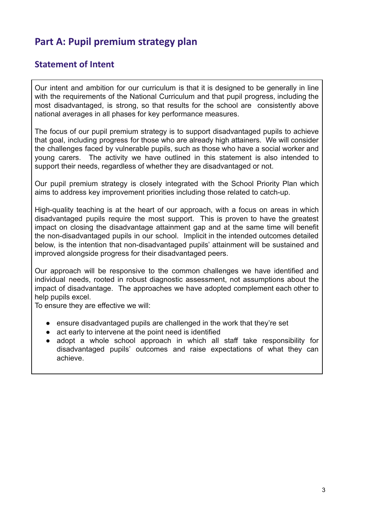# **Part A: Pupil premium strategy plan**

#### **Statement of Intent**

Our intent and ambition for our curriculum is that it is designed to be generally in line with the requirements of the National Curriculum and that pupil progress, including the most disadvantaged, is strong, so that results for the school are consistently above national averages in all phases for key performance measures.

The focus of our pupil premium strategy is to support disadvantaged pupils to achieve that goal, including progress for those who are already high attainers. We will consider the challenges faced by vulnerable pupils, such as those who have a social worker and young carers. The activity we have outlined in this statement is also intended to support their needs, regardless of whether they are disadvantaged or not.

Our pupil premium strategy is closely integrated with the School Priority Plan which aims to address key improvement priorities including those related to catch-up.

High-quality teaching is at the heart of our approach, with a focus on areas in which disadvantaged pupils require the most support. This is proven to have the greatest impact on closing the disadvantage attainment gap and at the same time will benefit the non-disadvantaged pupils in our school. Implicit in the intended outcomes detailed below, is the intention that non-disadvantaged pupils' attainment will be sustained and improved alongside progress for their disadvantaged peers.

Our approach will be responsive to the common challenges we have identified and individual needs, rooted in robust diagnostic assessment, not assumptions about the impact of disadvantage. The approaches we have adopted complement each other to help pupils excel.

To ensure they are effective we will:

- ensure disadvantaged pupils are challenged in the work that they're set
- act early to intervene at the point need is identified
- adopt a whole school approach in which all staff take responsibility for disadvantaged pupils' outcomes and raise expectations of what they can achieve.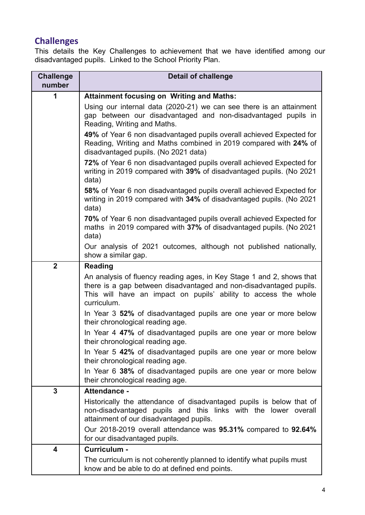# **Challenges**

This details the Key Challenges to achievement that we have identified among our disadvantaged pupils. Linked to the School Priority Plan.

| <b>Challenge</b><br>number | <b>Detail of challenge</b>                                                                                                                                                                                                    |
|----------------------------|-------------------------------------------------------------------------------------------------------------------------------------------------------------------------------------------------------------------------------|
| 1                          | <b>Attainment focusing on Writing and Maths:</b>                                                                                                                                                                              |
|                            | Using our internal data (2020-21) we can see there is an attainment<br>gap between our disadvantaged and non-disadvantaged pupils in<br>Reading, Writing and Maths.                                                           |
|                            | 49% of Year 6 non disadvantaged pupils overall achieved Expected for<br>Reading, Writing and Maths combined in 2019 compared with 24% of<br>disadvantaged pupils. (No 2021 data)                                              |
|                            | 72% of Year 6 non disadvantaged pupils overall achieved Expected for<br>writing in 2019 compared with 39% of disadvantaged pupils. (No 2021<br>data)                                                                          |
|                            | 58% of Year 6 non disadvantaged pupils overall achieved Expected for<br>writing in 2019 compared with 34% of disadvantaged pupils. (No 2021<br>data)                                                                          |
|                            | 70% of Year 6 non disadvantaged pupils overall achieved Expected for<br>maths in 2019 compared with 37% of disadvantaged pupils. (No 2021)<br>data)                                                                           |
|                            | Our analysis of 2021 outcomes, although not published nationally,<br>show a similar gap.                                                                                                                                      |
| $\overline{\mathbf{2}}$    | <b>Reading</b>                                                                                                                                                                                                                |
|                            | An analysis of fluency reading ages, in Key Stage 1 and 2, shows that<br>there is a gap between disadvantaged and non-disadvantaged pupils.<br>This will have an impact on pupils' ability to access the whole<br>curriculum. |
|                            | In Year 3 52% of disadvantaged pupils are one year or more below<br>their chronological reading age.                                                                                                                          |
|                            | In Year 4 47% of disadvantaged pupils are one year or more below<br>their chronological reading age.                                                                                                                          |
|                            | In Year 5 42% of disadvantaged pupils are one year or more below<br>their chronological reading age.                                                                                                                          |
|                            | In Year 6 38% of disadvantaged pupils are one year or more below<br>their chronological reading age.                                                                                                                          |
| 3                          | <b>Attendance -</b>                                                                                                                                                                                                           |
|                            | Historically the attendance of disadvantaged pupils is below that of<br>non-disadvantaged pupils and this links with the lower overall<br>attainment of our disadvantaged pupils.                                             |
|                            | Our 2018-2019 overall attendance was 95.31% compared to 92.64%<br>for our disadvantaged pupils.                                                                                                                               |
| 4                          | Curriculum -                                                                                                                                                                                                                  |
|                            | The curriculum is not coherently planned to identify what pupils must<br>know and be able to do at defined end points.                                                                                                        |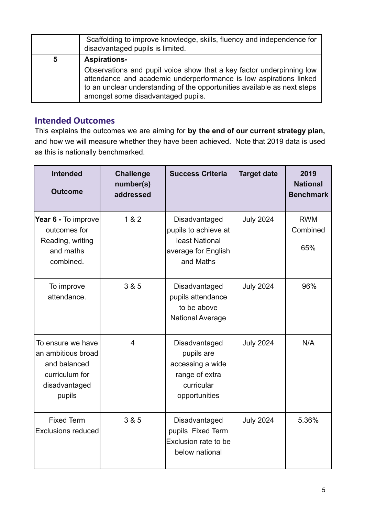|   | Scaffolding to improve knowledge, skills, fluency and independence for<br>disadvantaged pupils is limited.                                                                                                                                                                          |
|---|-------------------------------------------------------------------------------------------------------------------------------------------------------------------------------------------------------------------------------------------------------------------------------------|
| 5 | <b>Aspirations-</b><br>Observations and pupil voice show that a key factor underpinning low<br>attendance and academic underperformance is low aspirations linked<br>to an unclear understanding of the opportunities available as next steps<br>amongst some disadvantaged pupils. |

### **Intended Outcomes**

This explains the outcomes we are aiming for **by the end of our current strategy plan,** and how we will measure whether they have been achieved. Note that 2019 data is used as this is nationally benchmarked.

| <b>Intended</b><br><b>Outcome</b>                                                                    | <b>Challenge</b><br>number(s)<br>addressed | <b>Success Criteria</b>                                                                          | <b>Target date</b> | 2019<br><b>National</b><br><b>Benchmark</b> |
|------------------------------------------------------------------------------------------------------|--------------------------------------------|--------------------------------------------------------------------------------------------------|--------------------|---------------------------------------------|
| Year 6 - To improve<br>outcomes for<br>Reading, writing<br>and maths<br>combined.                    | 1 & 2                                      | Disadvantaged<br>pupils to achieve at<br>least National<br>average for English<br>and Maths      | <b>July 2024</b>   | <b>RWM</b><br>Combined<br>65%               |
| To improve<br>attendance.                                                                            | 3 & 5                                      | Disadvantaged<br>pupils attendance<br>to be above<br><b>National Average</b>                     | <b>July 2024</b>   | 96%                                         |
| To ensure we have<br>an ambitious broad<br>and balanced<br>curriculum for<br>disadvantaged<br>pupils | $\overline{4}$                             | Disadvantaged<br>pupils are<br>accessing a wide<br>range of extra<br>curricular<br>opportunities | <b>July 2024</b>   | N/A                                         |
| <b>Fixed Term</b><br>Exclusions reduced                                                              | 3 & 5                                      | Disadvantaged<br>pupils Fixed Term<br>Exclusion rate to bel<br>below national                    | <b>July 2024</b>   | 5.36%                                       |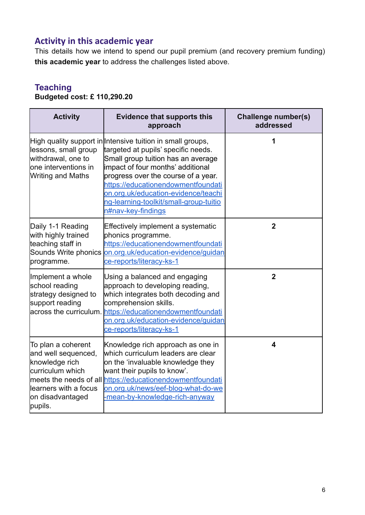## **Activity in this academic year**

This details how we intend to spend our pupil premium (and recovery premium funding) **this academic year** to address the challenges listed above.

# **Teaching**

## **Budgeted cost: £ 110,290.20**

| <b>Activity</b>                                                                                                                         | <b>Evidence that supports this</b><br>approach                                                                                                                                                                                                                                                                                                                   | Challenge number(s)<br>addressed |
|-----------------------------------------------------------------------------------------------------------------------------------------|------------------------------------------------------------------------------------------------------------------------------------------------------------------------------------------------------------------------------------------------------------------------------------------------------------------------------------------------------------------|----------------------------------|
| lessons, small group<br>withdrawal, one to<br>one interventions in<br><b>Writing and Maths</b>                                          | High quality support in Intensive tuition in small groups,<br>targeted at pupils' specific needs.<br>Small group tuition has an average<br>impact of four months' additional<br>progress over the course of a year.<br>https://educationendowmentfoundati<br>on.org.uk/education-evidence/teachi<br>ng-learning-toolkit/small-group-tuitio<br>n#nav-key-findings | 1                                |
| Daily 1-1 Reading<br>with highly trained<br>teaching staff in<br>Sounds Write phonics<br>programme.                                     | Effectively implement a systematic<br>phonics programme.<br>https://educationendowmentfoundati<br>on.org.uk/education-evidence/guidan<br>ce-reports/literacy-ks-1                                                                                                                                                                                                | $\overline{2}$                   |
| Implement a whole<br>school reading<br>strategy designed to<br>support reading                                                          | Using a balanced and engaging<br>approach to developing reading,<br>which integrates both decoding and<br>comprehension skills.<br>across the curriculum. https://educationendowmentfoundati<br>on.org.uk/education-evidence/guidan<br>ce-reports/literacy-ks-1                                                                                                  | $\overline{2}$                   |
| To plan a coherent<br>and well sequenced,<br>knowledge rich<br>curriculum which<br>learners with a focus<br>on disadvantaged<br>pupils. | Knowledge rich approach as one in<br>which curriculum leaders are clear<br>on the 'invaluable knowledge they<br>want their pupils to know'.<br>meets the needs of all https://educationendowmentfoundati<br>on.org.uk/news/eef-blog-what-do-we<br>-mean-by-knowledge-rich-anyway                                                                                 | $\overline{\mathbf{4}}$          |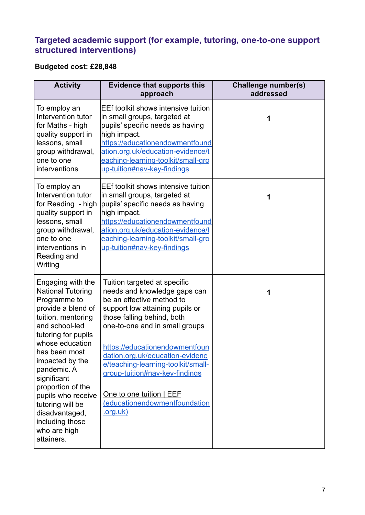### **Targeted academic support (for example, tutoring, one-to-one support structured interventions)**

# **Budgeted cost: £28,848**

| <b>Activity</b>                                                                                                                                                                                                                                                                                                                                                           | <b>Evidence that supports this</b><br>approach                                                                                                                                                                                                                                                                                                                                                                     | Challenge number(s)<br>addressed |
|---------------------------------------------------------------------------------------------------------------------------------------------------------------------------------------------------------------------------------------------------------------------------------------------------------------------------------------------------------------------------|--------------------------------------------------------------------------------------------------------------------------------------------------------------------------------------------------------------------------------------------------------------------------------------------------------------------------------------------------------------------------------------------------------------------|----------------------------------|
| To employ an<br>Intervention tutor<br>for Maths - high<br>quality support in<br>lessons, small<br>group withdrawal,<br>one to one<br>interventions                                                                                                                                                                                                                        | <b>EEf toolkit shows intensive tuition</b><br>in small groups, targeted at<br>pupils' specific needs as having<br>high impact.<br>https://educationendowmentfound<br>ation.org.uk/education-evidence/t<br>eaching-learning-toolkit/small-gro<br>up-tuition#nav-key-findings                                                                                                                                        | 1                                |
| To employ an<br>Intervention tutor<br>for Reading - high<br>quality support in<br>lessons, small<br>group withdrawal,<br>one to one<br>interventions in<br>Reading and<br>Writing                                                                                                                                                                                         | <b>EEf toolkit shows intensive tuition</b><br>in small groups, targeted at<br>pupils' specific needs as having<br>high impact.<br>https://educationendowmentfound<br>ation.org.uk/education-evidence/t<br>eaching-learning-toolkit/small-gro<br>up-tuition#nav-key-findings                                                                                                                                        | 1                                |
| Engaging with the<br><b>National Tutoring</b><br>Programme to<br>provide a blend of<br>tuition, mentoring<br>and school-led<br>tutoring for pupils<br>whose education<br>has been most<br>impacted by the<br>pandemic. A<br>significant<br>proportion of the<br>pupils who receive<br>tutoring will be<br>disadvantaged,<br>including those<br>who are high<br>attainers. | Tuition targeted at specific<br>needs and knowledge gaps can<br>be an effective method to<br>support low attaining pupils or<br>those falling behind, both<br>one-to-one and in small groups<br>https://educationendowmentfoun<br>dation.org.uk/education-evidenc<br>e/teaching-learning-toolkit/small-<br>group-tuition#nav-key-findings<br>One to one tuition   EEF<br>(educationendowmentfoundation<br>.org.uk) | 1                                |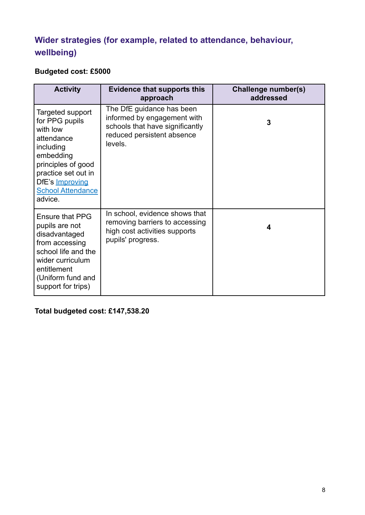# **Wider strategies (for example, related to attendance, behaviour, wellbeing)**

## **Budgeted cost: £5000**

| <b>Activity</b>                                                                                                                                                                                      | <b>Evidence that supports this</b><br>approach                                                                                       | Challenge number(s)<br>addressed |
|------------------------------------------------------------------------------------------------------------------------------------------------------------------------------------------------------|--------------------------------------------------------------------------------------------------------------------------------------|----------------------------------|
| Targeted support<br>for PPG pupils<br>with low<br>attendance<br>including<br>embedding<br>principles of good<br>practice set out in<br>DfE's <b>Improving</b><br><b>School Attendance</b><br>advice. | The DfE guidance has been<br>informed by engagement with<br>schools that have significantly<br>reduced persistent absence<br>levels. | 3                                |
| <b>Ensure that PPG</b><br>pupils are not<br>disadvantaged<br>from accessing<br>school life and the<br>wider curriculum<br>entitlement<br>(Uniform fund and<br>support for trips)                     | In school, evidence shows that<br>removing barriers to accessing<br>high cost activities supports<br>pupils' progress.               | 4                                |

**Total budgeted cost: £147,538.20**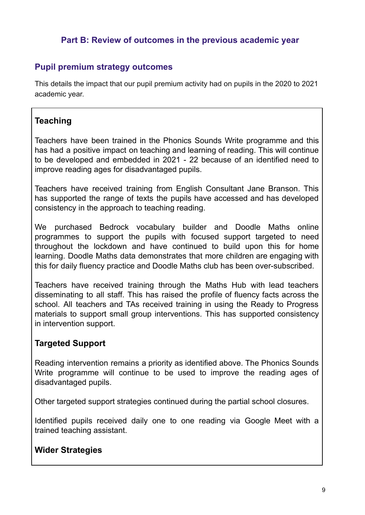#### **Part B: Review of outcomes in the previous academic year**

#### **Pupil premium strategy outcomes**

This details the impact that our pupil premium activity had on pupils in the 2020 to 2021 academic year.

### **Teaching**

Teachers have been trained in the Phonics Sounds Write programme and this has had a positive impact on teaching and learning of reading. This will continue to be developed and embedded in 2021 - 22 because of an identified need to improve reading ages for disadvantaged pupils.

Teachers have received training from English Consultant Jane Branson. This has supported the range of texts the pupils have accessed and has developed consistency in the approach to teaching reading.

We purchased Bedrock vocabulary builder and Doodle Maths online programmes to support the pupils with focused support targeted to need throughout the lockdown and have continued to build upon this for home learning. Doodle Maths data demonstrates that more children are engaging with this for daily fluency practice and Doodle Maths club has been over-subscribed.

Teachers have received training through the Maths Hub with lead teachers disseminating to all staff. This has raised the profile of fluency facts across the school. All teachers and TAs received training in using the Ready to Progress materials to support small group interventions. This has supported consistency in intervention support.

#### **Targeted Support**

Reading intervention remains a priority as identified above. The Phonics Sounds Write programme will continue to be used to improve the reading ages of disadvantaged pupils.

Other targeted support strategies continued during the partial school closures.

Identified pupils received daily one to one reading via Google Meet with a trained teaching assistant.

#### **Wider Strategies**